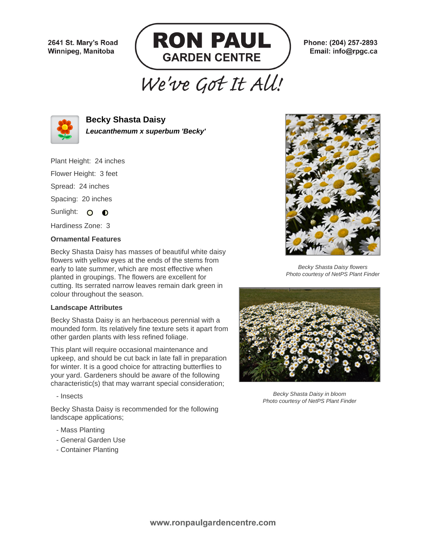2641 St. Mary's Road Winnipeg, Manitoba



Phone: (204) 257-2893 Email: info@rpgc.ca

## We've Got It All!



**Becky Shasta Daisy Leucanthemum x superbum 'Becky'**

Plant Height: 24 inches

Flower Height: 3 feet

Spread: 24 inches

Spacing: 20 inches

Sunlight: O O

Hardiness Zone: 3

## **Ornamental Features**

Becky Shasta Daisy has masses of beautiful white daisy flowers with yellow eyes at the ends of the stems from early to late summer, which are most effective when planted in groupings. The flowers are excellent for cutting. Its serrated narrow leaves remain dark green in colour throughout the season.

## **Landscape Attributes**

Becky Shasta Daisy is an herbaceous perennial with a mounded form. Its relatively fine texture sets it apart from other garden plants with less refined foliage.

This plant will require occasional maintenance and upkeep, and should be cut back in late fall in preparation for winter. It is a good choice for attracting butterflies to your yard. Gardeners should be aware of the following characteristic(s) that may warrant special consideration;

- Insects

Becky Shasta Daisy is recommended for the following landscape applications;

- Mass Planting
- General Garden Use
- Container Planting



Becky Shasta Daisy flowers Photo courtesy of NetPS Plant Finder



Becky Shasta Daisy in bloom Photo courtesy of NetPS Plant Finder